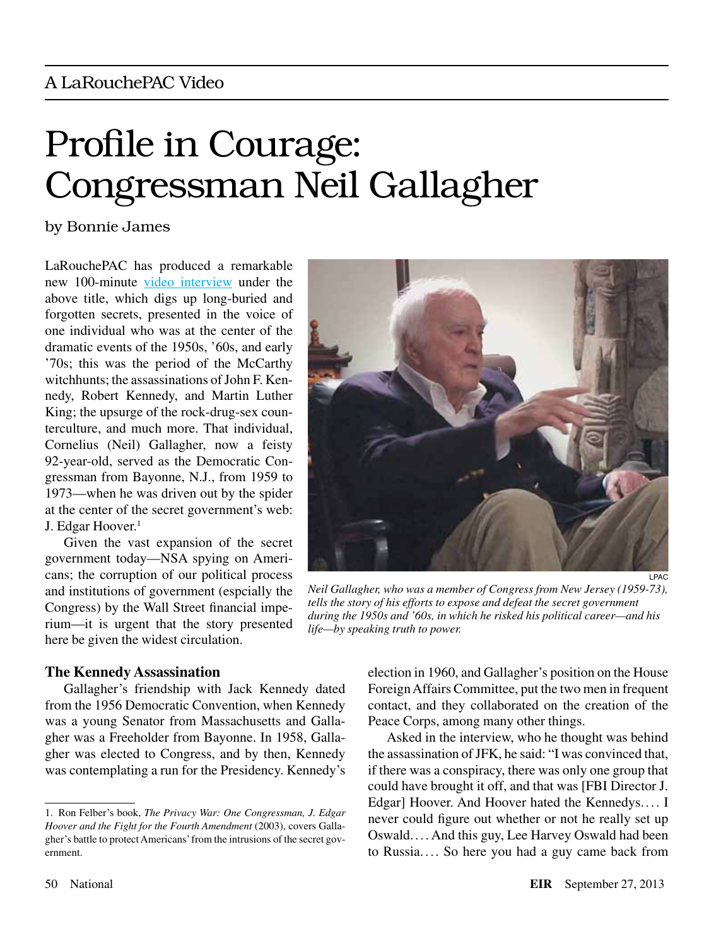# Profile in Courage: Congressman Neil Gallagher

### by Bonnie James

LaRouchePAC has produced a remarkable new 100-minute [video interview](http://larouchepac.com/node/28114) under the above title, which digs up long-buried and forgotten secrets, presented in the voice of one individual who was at the center of the dramatic events of the 1950s, '60s, and early '70s; this was the period of the McCarthy witchhunts; the assassinations of John F. Kennedy, Robert Kennedy, and Martin Luther King; the upsurge of the rock-drug-sex counterculture, and much more. That individual, Cornelius (Neil) Gallagher, now a feisty 92-year-old, served as the Democratic Congressman from Bayonne, N.J., from 1959 to 1973—when he was driven out by the spider at the center of the secret government's web: J. Edgar Hoover.<sup>1</sup>

Given the vast expansion of the secret government today—NSA spying on Americans; the corruption of our political process and institutions of government (espcially the Congress) by the Wall Street financial imperium—it is urgent that the story presented here be given the widest circulation.



*Neil Gallagher, who was a member of Congress from New Jersey (1959-73), tells the story of his efforts to expose and defeat the secret government during the 1950s and '60s, in which he risked his political career—and his life—by speaking truth to power.*

#### **The Kennedy Assassination**

Gallagher's friendship with Jack Kennedy dated from the 1956 Democratic Convention, when Kennedy was a young Senator from Massachusetts and Gallagher was a Freeholder from Bayonne. In 1958, Gallagher was elected to Congress, and by then, Kennedy was contemplating a run for the Presidency. Kennedy's

election in 1960, and Gallagher's position on the House Foreign Affairs Committee, put the two men in frequent contact, and they collaborated on the creation of the Peace Corps, among many other things.

Asked in the interview, who he thought was behind the assassination of JFK, he said: "I was convinced that, if there was a conspiracy, there was only one group that could have brought it off, and that was [FBI Director J. Edgar] Hoover. And Hoover hated the Kennedys.... I never could figure out whether or not he really set up Oswald. . . . And this guy, Lee Harvey Oswald had been to Russia. ... So here you had a guy came back from

<sup>1.</sup> Ron Felber's book, *The Privacy War: One Congressman, J. Edgar Hoover and the Fight for the Fourth Amendment* (2003), covers Gallagher's battle to protect Americans' from the intrusions of the secret government.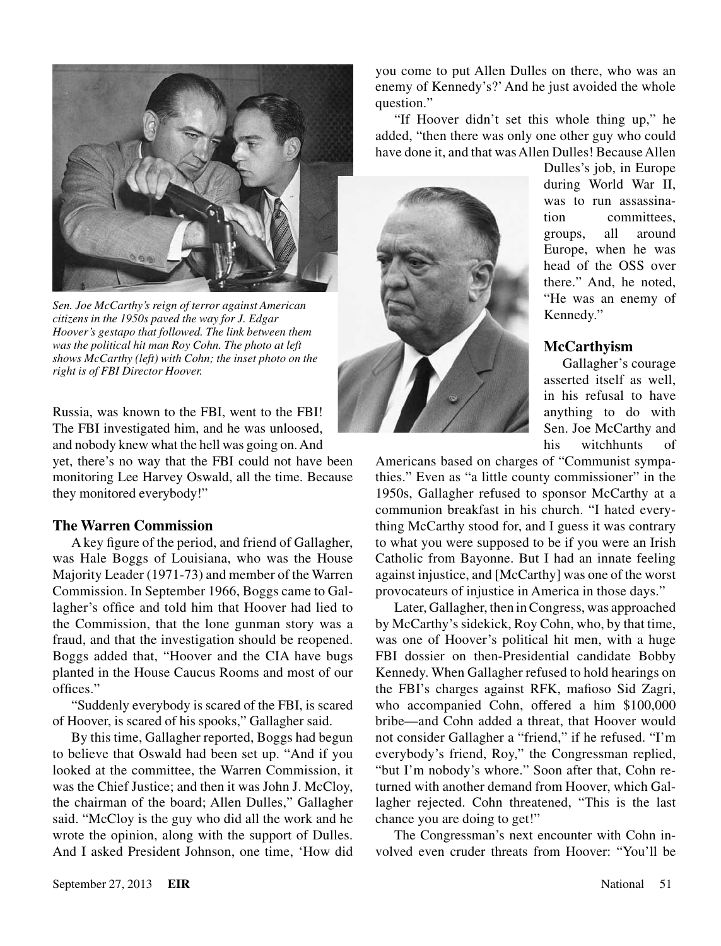

*Sen. Joe McCarthy's reign of terror against American citizens in the 1950s paved the way for J. Edgar Hoover's gestapo that followed. The link between them was the political hit man Roy Cohn. The photo at left shows McCarthy (left) with Cohn; the inset photo on the right is of FBI Director Hoover.*

Russia, was known to the FBI, went to the FBI! The FBI investigated him, and he was unloosed, and nobody knew what the hell was going on. And yet, there's no way that the FBI could not have been monitoring Lee Harvey Oswald, all the time. Because they monitored everybody!"

#### **The Warren Commission**

A key figure of the period, and friend of Gallagher, was Hale Boggs of Louisiana, who was the House Majority Leader (1971-73) and member of the Warren Commission. In September 1966, Boggs came to Gallagher's office and told him that Hoover had lied to the Commission, that the lone gunman story was a fraud, and that the investigation should be reopened. Boggs added that, "Hoover and the CIA have bugs planted in the House Caucus Rooms and most of our offices."

"Suddenly everybody is scared of the FBI, is scared of Hoover, is scared of his spooks," Gallagher said.

By this time, Gallagher reported, Boggs had begun to believe that Oswald had been set up. "And if you looked at the committee, the Warren Commission, it was the Chief Justice; and then it was John J. McCloy, the chairman of the board; Allen Dulles," Gallagher said. "McCloy is the guy who did all the work and he wrote the opinion, along with the support of Dulles. And I asked President Johnson, one time, 'How did you come to put Allen Dulles on there, who was an enemy of Kennedy's?' And he just avoided the whole question."

"If Hoover didn't set this whole thing up," he added, "then there was only one other guy who could have done it, and that was Allen Dulles! Because Allen



Dulles's job, in Europe during World War II, was to run assassination committees, groups, all around Europe, when he was head of the OSS over there." And, he noted "He was an enemy of Kennedy."

#### **McCarthyism**

Gallagher's courage asserted itself as well, in his refusal to have anything to do with Sen. Joe McCarthy and his witchhunts of

Americans based on charges of "Communist sympathies." Even as "a little county commissioner" in the 1950s, Gallagher refused to sponsor McCarthy at a communion breakfast in his church. "I hated everything McCarthy stood for, and I guess it was contrary to what you were supposed to be if you were an Irish Catholic from Bayonne. But I had an innate feeling against injustice, and [McCarthy] was one of the worst provocateurs of injustice in America in those days."

Later, Gallagher, then in Congress, was approached by McCarthy's sidekick, Roy Cohn, who, by that time, was one of Hoover's political hit men, with a huge FBI dossier on then-Presidential candidate Bobby Kennedy. When Gallagher refused to hold hearings on the FBI's charges against RFK, mafioso Sid Zagri, who accompanied Cohn, offered a him \$100,000 bribe—and Cohn added a threat, that Hoover would not consider Gallagher a "friend," if he refused. "I'm everybody's friend, Roy," the Congressman replied, "but I'm nobody's whore." Soon after that, Cohn returned with another demand from Hoover, which Gallagher rejected. Cohn threatened, "This is the last chance you are doing to get!"

The Congressman's next encounter with Cohn involved even cruder threats from Hoover: "You'll be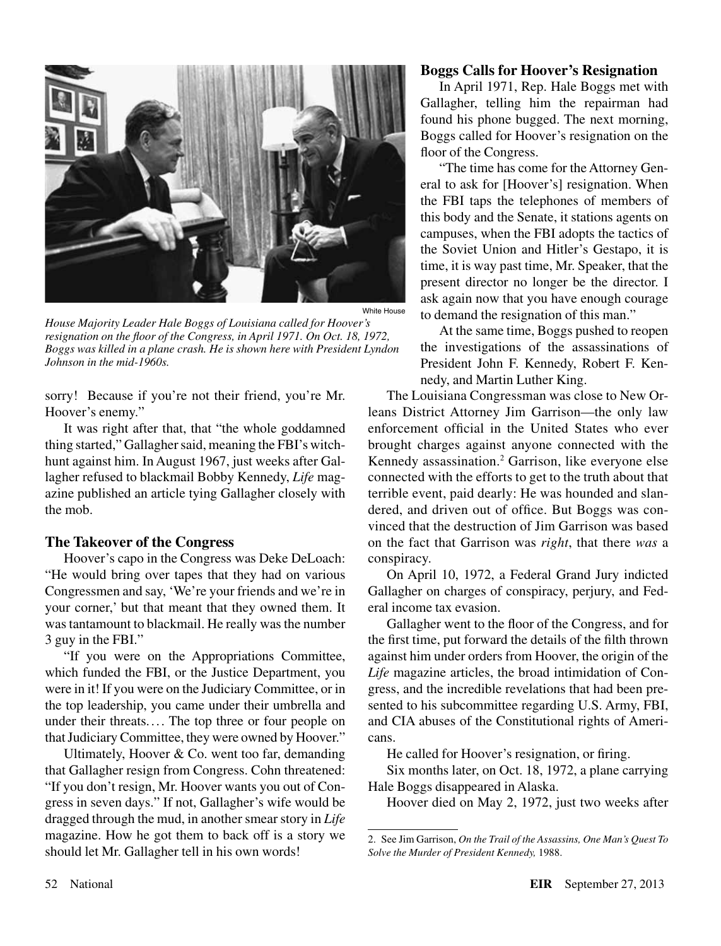

*House Majority Leader Hale Boggs of Louisiana called for Hoover's resignation on the floor of the Congress, in April 1971. On Oct. 18, 1972, Boggs was killed in a plane crash. He is shown here with President Lyndon Johnson in the mid-1960s.*

sorry! Because if you're not their friend, you're Mr. Hoover's enemy."

It was right after that, that "the whole goddamned thing started," Gallagher said, meaning the FBI's witchhunt against him. In August 1967, just weeks after Gallagher refused to blackmail Bobby Kennedy, *Life* magazine published an article tying Gallagher closely with the mob.

#### **The Takeover of the Congress**

Hoover's capo in the Congress was Deke DeLoach: "He would bring over tapes that they had on various Congressmen and say, 'We're your friends and we're in your corner,' but that meant that they owned them. It was tantamount to blackmail. He really was the number 3 guy in the FBI."

"If you were on the Appropriations Committee, which funded the FBI, or the Justice Department, you were in it! If you were on the Judiciary Committee, or in the top leadership, you came under their umbrella and under their threats.... The top three or four people on that Judiciary Committee, they were owned by Hoover."

Ultimately, Hoover & Co. went too far, demanding that Gallagher resign from Congress. Cohn threatened: "If you don't resign, Mr. Hoover wants you out of Congress in seven days." If not, Gallagher's wife would be dragged through the mud, in another smear story in *Life* magazine. How he got them to back off is a story we should let Mr. Gallagher tell in his own words!

#### **Boggs Calls for Hoover's Resignation**

In April 1971, Rep. Hale Boggs met with Gallagher, telling him the repairman had found his phone bugged. The next morning, Boggs called for Hoover's resignation on the floor of the Congress.

"The time has come for the Attorney General to ask for [Hoover's] resignation. When the FBI taps the telephones of members of this body and the Senate, it stations agents on campuses, when the FBI adopts the tactics of the Soviet Union and Hitler's Gestapo, it is time, it is way past time, Mr. Speaker, that the present director no longer be the director. I ask again now that you have enough courage to demand the resignation of this man."

At the same time, Boggs pushed to reopen the investigations of the assassinations of President John F. Kennedy, Robert F. Kennedy, and Martin Luther King.

The Louisiana Congressman was close to New Orleans District Attorney Jim Garrison—the only law enforcement official in the United States who ever brought charges against anyone connected with the Kennedy assassination.2 Garrison, like everyone else connected with the efforts to get to the truth about that terrible event, paid dearly: He was hounded and slandered, and driven out of office. But Boggs was convinced that the destruction of Jim Garrison was based on the fact that Garrison was *right*, that there *was* a conspiracy.

On April 10, 1972, a Federal Grand Jury indicted Gallagher on charges of conspiracy, perjury, and Federal income tax evasion.

Gallagher went to the floor of the Congress, and for the first time, put forward the details of the filth thrown against him under orders from Hoover, the origin of the *Life* magazine articles, the broad intimidation of Congress, and the incredible revelations that had been presented to his subcommittee regarding U.S. Army, FBI, and CIA abuses of the Constitutional rights of Americans.

He called for Hoover's resignation, or firing.

Six months later, on Oct. 18, 1972, a plane carrying Hale Boggs disappeared in Alaska.

Hoover died on May 2, 1972, just two weeks after

<sup>2.</sup> See Jim Garrison, *On the Trail of the Assassins, One Man's Quest To Solve the Murder of President Kennedy,* 1988.